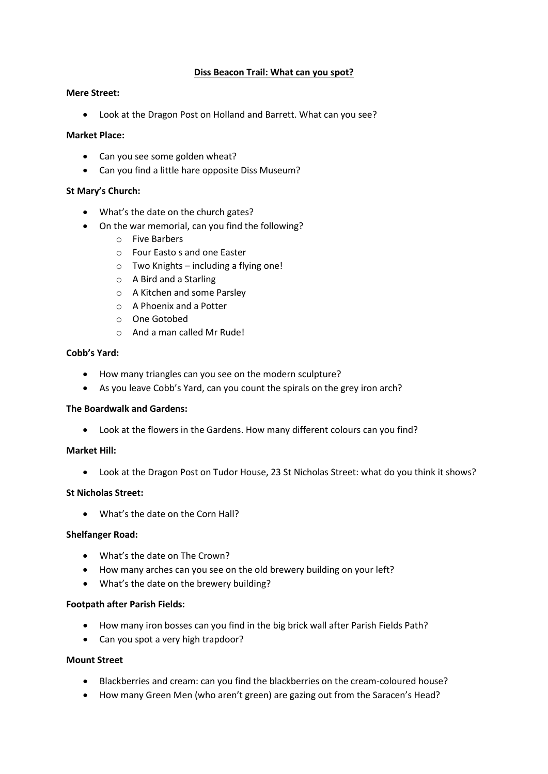### **Diss Beacon Trail: What can you spot?**

#### **Mere Street:**

• Look at the Dragon Post on Holland and Barrett. What can you see?

#### **Market Place:**

- Can you see some golden wheat?
- Can you find a little hare opposite Diss Museum?

#### **St Mary's Church:**

- What's the date on the church gates?
- On the war memorial, can you find the following?
	- o Five Barbers
	- o Four Easto s and one Easter
	- o Two Knights including a flying one!
	- o A Bird and a Starling
	- o A Kitchen and some Parsley
	- o A Phoenix and a Potter
	- o One Gotobed
	- o And a man called Mr Rude!

#### **Cobb's Yard:**

- How many triangles can you see on the modern sculpture?
- As you leave Cobb's Yard, can you count the spirals on the grey iron arch?

### **The Boardwalk and Gardens:**

• Look at the flowers in the Gardens. How many different colours can you find?

### **Market Hill:**

• Look at the Dragon Post on Tudor House, 23 St Nicholas Street: what do you think it shows?

### **St Nicholas Street:**

• What's the date on the Corn Hall?

### **Shelfanger Road:**

- What's the date on The Crown?
- How many arches can you see on the old brewery building on your left?
- What's the date on the brewery building?

### **Footpath after Parish Fields:**

- How many iron bosses can you find in the big brick wall after Parish Fields Path?
- Can you spot a very high trapdoor?

# **Mount Street**

- Blackberries and cream: can you find the blackberries on the cream-coloured house?
- How many Green Men (who aren't green) are gazing out from the Saracen's Head?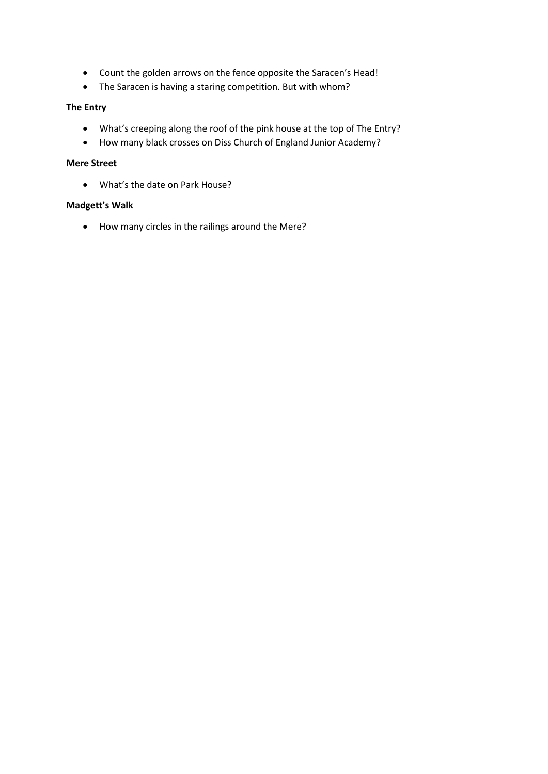- Count the golden arrows on the fence opposite the Saracen's Head!
- The Saracen is having a staring competition. But with whom?

# **The Entry**

- What's creeping along the roof of the pink house at the top of The Entry?
- How many black crosses on Diss Church of England Junior Academy?

### **Mere Street**

• What's the date on Park House?

### **Madgett's Walk**

• How many circles in the railings around the Mere?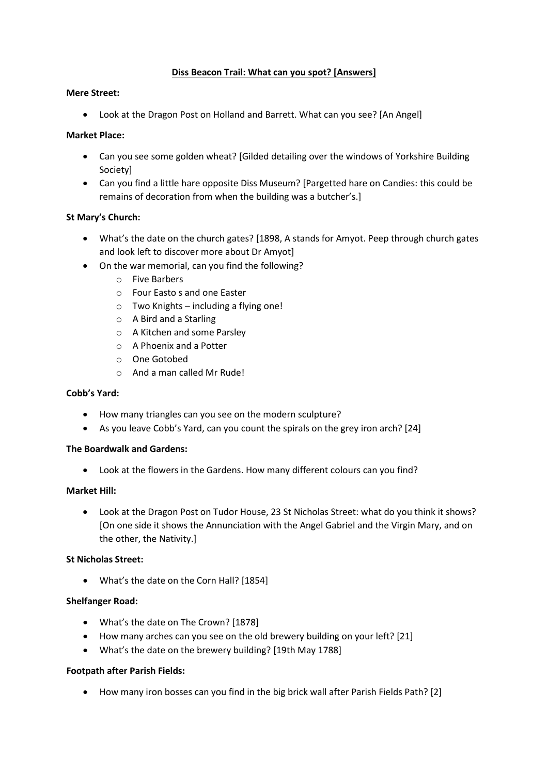# **Diss Beacon Trail: What can you spot? [Answers]**

### **Mere Street:**

• Look at the Dragon Post on Holland and Barrett. What can you see? [An Angel]

# **Market Place:**

- Can you see some golden wheat? [Gilded detailing over the windows of Yorkshire Building Society]
- Can you find a little hare opposite Diss Museum? [Pargetted hare on Candies: this could be remains of decoration from when the building was a butcher's.]

# **St Mary's Church:**

- What's the date on the church gates? [1898, A stands for Amyot. Peep through church gates and look left to discover more about Dr Amyot]
- On the war memorial, can you find the following?
	- o Five Barbers
	- o Four Easto s and one Easter
	- o Two Knights including a flying one!
	- o A Bird and a Starling
	- o A Kitchen and some Parsley
	- o A Phoenix and a Potter
	- o One Gotobed
	- o And a man called Mr Rude!

### **Cobb's Yard:**

- How many triangles can you see on the modern sculpture?
- As you leave Cobb's Yard, can you count the spirals on the grey iron arch? [24]

### **The Boardwalk and Gardens:**

• Look at the flowers in the Gardens. How many different colours can you find?

### **Market Hill:**

• Look at the Dragon Post on Tudor House, 23 St Nicholas Street: what do you think it shows? [On one side it shows the Annunciation with the Angel Gabriel and the Virgin Mary, and on the other, the Nativity.]

### **St Nicholas Street:**

• What's the date on the Corn Hall? [1854]

### **Shelfanger Road:**

- What's the date on The Crown? [1878]
- How many arches can you see on the old brewery building on your left? [21]
- What's the date on the brewery building? [19th May 1788]

### **Footpath after Parish Fields:**

• How many iron bosses can you find in the big brick wall after Parish Fields Path? [2]